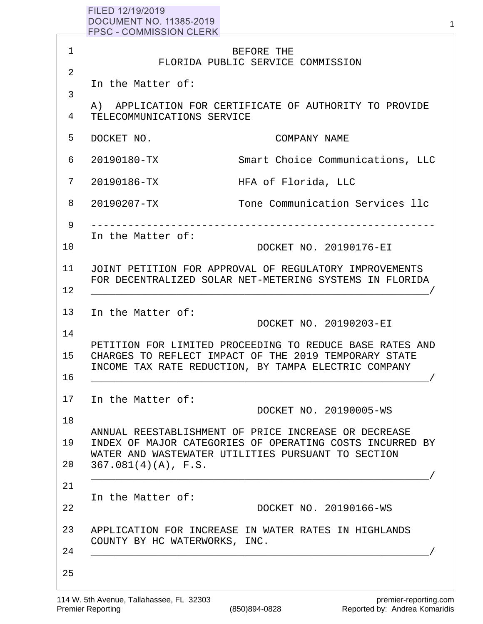|              | FILED 12/19/2019<br>DOCUMENT NO. 11385-2019<br>FPSC - COMMISSION CLERK <b>COMMISSION</b> |                                                                                                                                                                           |
|--------------|------------------------------------------------------------------------------------------|---------------------------------------------------------------------------------------------------------------------------------------------------------------------------|
| $\mathbf{1}$ |                                                                                          | BEFORE THE<br>FLORIDA PUBLIC SERVICE COMMISSION                                                                                                                           |
| 2            | In the Matter of:                                                                        |                                                                                                                                                                           |
| 3            |                                                                                          | A) APPLICATION FOR CERTIFICATE OF AUTHORITY TO PROVIDE                                                                                                                    |
| 4            | TELECOMMUNICATIONS SERVICE                                                               |                                                                                                                                                                           |
| 5            | DOCKET NO.                                                                               | COMPANY NAME                                                                                                                                                              |
| 6            | 20190180-TX                                                                              | Smart Choice Communications, LLC                                                                                                                                          |
| 7            | 20190186-TX                                                                              | HFA of Florida, LLC                                                                                                                                                       |
| 8            | 20190207-TX                                                                              | Tone Communication Services llc                                                                                                                                           |
| 9            |                                                                                          |                                                                                                                                                                           |
| 10           | In the Matter of:                                                                        | DOCKET NO. 20190176-EI                                                                                                                                                    |
| 11<br>12     |                                                                                          | JOINT PETITION FOR APPROVAL OF REGULATORY IMPROVEMENTS<br>FOR DECENTRALIZED SOLAR NET-METERING SYSTEMS IN FLORIDA                                                         |
| 13<br>14     | In the Matter of:                                                                        | DOCKET NO. 20190203-EI                                                                                                                                                    |
| 15           |                                                                                          | PETITION FOR LIMITED PROCEEDING TO REDUCE BASE RATES AND<br>CHARGES TO REFLECT IMPACT OF THE 2019 TEMPORARY STATE<br>INCOME TAX RATE REDUCTION, BY TAMPA ELECTRIC COMPANY |
| 16           |                                                                                          |                                                                                                                                                                           |
| 17           | In the Matter of:                                                                        | DOCKET NO. 20190005-WS                                                                                                                                                    |
| 18           |                                                                                          | ANNUAL REESTABLISHMENT OF PRICE INCREASE OR DECREASE                                                                                                                      |
| 19           |                                                                                          | INDEX OF MAJOR CATEGORIES OF OPERATING COSTS INCURRED BY<br>WATER AND WASTEWATER UTILITIES PURSUANT TO SECTION                                                            |
| 20           | $367.081(4)(A)$ , F.S.                                                                   |                                                                                                                                                                           |
| 21           | In the Matter of:                                                                        |                                                                                                                                                                           |
| 22           |                                                                                          | DOCKET NO. 20190166-WS                                                                                                                                                    |

25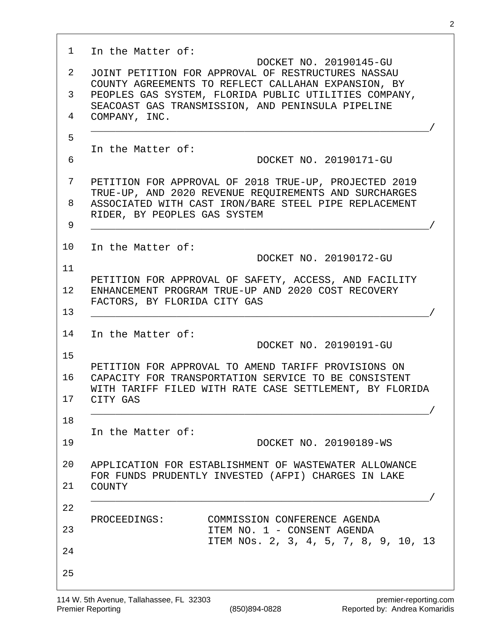| $\mathbf{1}$ | In the Matter of:<br>DOCKET NO. 20190145-GU                                                                          |
|--------------|----------------------------------------------------------------------------------------------------------------------|
| 2            | JOINT PETITION FOR APPROVAL OF RESTRUCTURES NASSAU<br>COUNTY AGREEMENTS TO REFLECT CALLAHAN EXPANSION, BY            |
| 3            | PEOPLES GAS SYSTEM, FLORIDA PUBLIC UTILITIES COMPANY,<br>SEACOAST GAS TRANSMISSION, AND PENINSULA PIPELINE           |
| 4            | COMPANY, INC.                                                                                                        |
| 5            | In the Matter of:                                                                                                    |
| 6            | DOCKET NO. 20190171-GU                                                                                               |
| 7            | PETITION FOR APPROVAL OF 2018 TRUE-UP, PROJECTED 2019<br>TRUE-UP, AND 2020 REVENUE REQUIREMENTS AND SURCHARGES       |
| 8            | ASSOCIATED WITH CAST IRON/BARE STEEL PIPE REPLACEMENT<br>RIDER, BY PEOPLES GAS SYSTEM                                |
| 9            |                                                                                                                      |
| 10           | In the Matter of:<br>DOCKET NO. 20190172-GU                                                                          |
| 11           |                                                                                                                      |
| $12 \,$      | PETITION FOR APPROVAL OF SAFETY, ACCESS, AND FACILITY<br>ENHANCEMENT PROGRAM TRUE-UP AND 2020 COST RECOVERY          |
| 13           | FACTORS, BY FLORIDA CITY GAS                                                                                         |
| 14           | In the Matter of:                                                                                                    |
| 15           | DOCKET NO. 20190191-GU                                                                                               |
| 16           | PETITION FOR APPROVAL TO AMEND TARIFF PROVISIONS ON<br>CAPACITY FOR TRANSPORTATION SERVICE TO BE CONSISTENT          |
| 17           | WITH TARIFF FILED WITH RATE CASE SETTLEMENT, BY FLORIDA<br>CITY GAS                                                  |
| 18           |                                                                                                                      |
| 19           | In the Matter of:<br>DOCKET NO. 20190189-WS                                                                          |
| 20           | APPLICATION FOR ESTABLISHMENT OF WASTEWATER ALLOWANCE<br>FOR FUNDS PRUDENTLY INVESTED (AFPI) CHARGES IN LAKE         |
| 21           | <b>COUNTY</b>                                                                                                        |
| 22           |                                                                                                                      |
| 23           | COMMISSION CONFERENCE AGENDA<br>PROCEEDINGS:<br>ITEM NO. 1 - CONSENT AGENDA<br>ITEM NOS. 2, 3, 4, 5, 7, 8, 9, 10, 13 |
| 24           |                                                                                                                      |
| 25           |                                                                                                                      |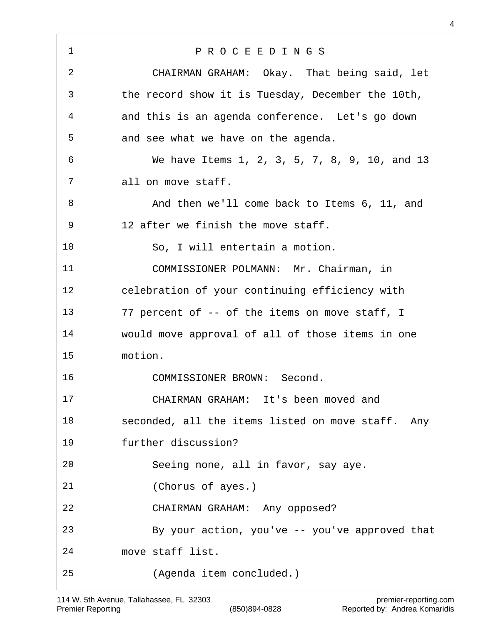P R O C E E D I N G S CHAIRMAN GRAHAM: Okay. That being said, let the record show it is Tuesday, December the 10th, and this is an agenda conference. Let's go down and see what we have on the agenda. We have Items 1, 2, 3, 5, 7, 8, 9, 10, and 13 all on move staff. 8 And then we'll come back to Items 6, 11, and 12 after we finish the move staff. So, I will entertain a motion. COMMISSIONER POLMANN: Mr. Chairman, in celebration of your continuing efficiency with 77 percent of -- of the items on move staff, I would move approval of all of those items in one motion. COMMISSIONER BROWN: Second. CHAIRMAN GRAHAM: It's been moved and seconded, all the items listed on move staff. Any further discussion? Seeing none, all in favor, say aye. (Chorus of ayes.) CHAIRMAN GRAHAM: Any opposed? By your action, you've -- you've approved that move staff list. (Agenda item concluded.)